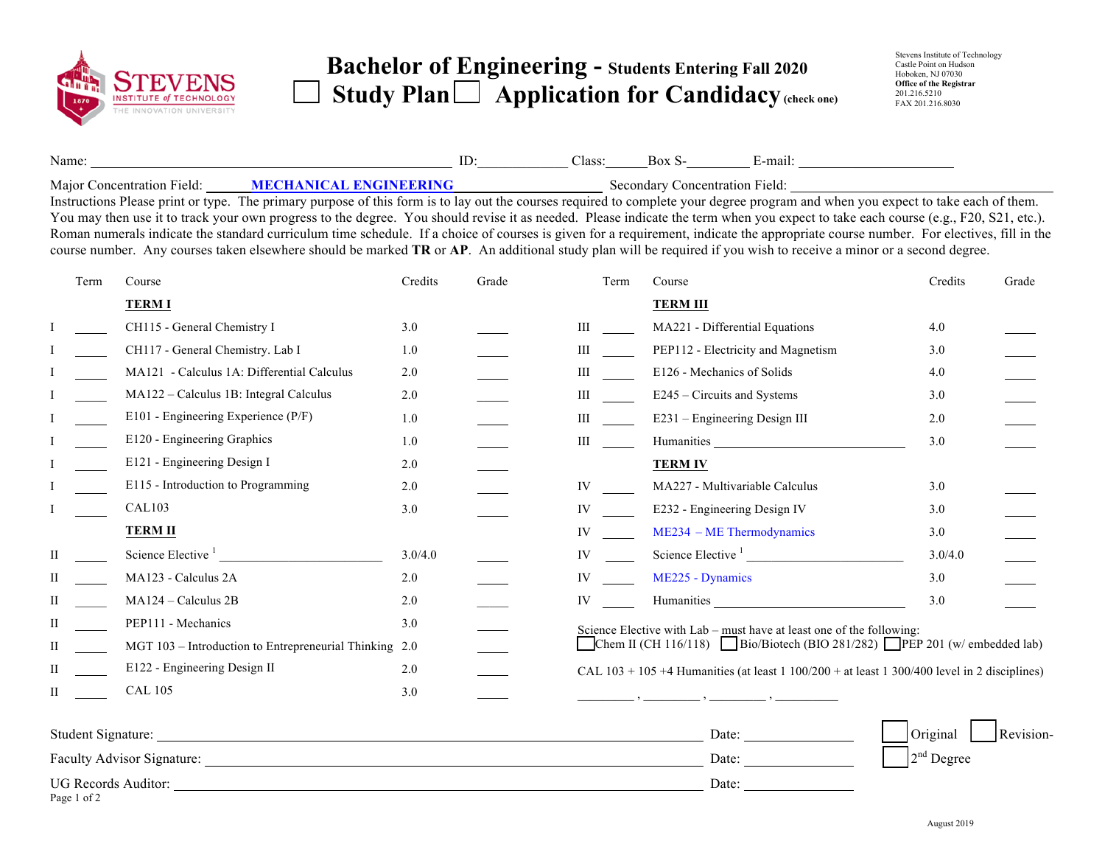

Page 1 of 2

## **Bachelor of Engineering - Students Entering Fall 20<sup>20</sup>**  Study Plan  $\Box$  Application for Candidacy (check one)

| Name:    |                                    | лаээ. | าเ | $\sim$<br>-mai           |
|----------|------------------------------------|-------|----|--------------------------|
| $\cdots$ | <b>SERGE LYDOLE BYLODINING ILO</b> |       |    | $\overline{\phantom{a}}$ |

Major Concentration Field: **MECHANICAL ENGINEERING** Secondary Concentration Field:

Instructions Please print or type. The primary purpose of this form is to lay out the courses required to complete your degree program and when you expect to take each of them. You may then use it to track your own progress to the degree. You should revise it as needed. Please indicate the term when you expect to take each course (e.g., F20, S21, etc.). Roman numerals indicate the standard curriculum time schedule. If a choice of courses is given for a requirement, indicate the appropriate course number. For electives, fill in the course number. Any courses taken elsewhere should be marked **TR** or **AP**. An additional study plan will be required if you wish to receive a minor or a second degree.

| Term                | Course                                     | Credits | Grade                                                  | Term<br>Course |                                    | Credits                             | Grade                                                                                                                                                                                                                                                                                                                     |  |
|---------------------|--------------------------------------------|---------|--------------------------------------------------------|----------------|------------------------------------|-------------------------------------|---------------------------------------------------------------------------------------------------------------------------------------------------------------------------------------------------------------------------------------------------------------------------------------------------------------------------|--|
|                     | <b>TERMI</b>                               |         |                                                        |                | <b>TERM III</b>                    |                                     |                                                                                                                                                                                                                                                                                                                           |  |
|                     | CH115 - General Chemistry I                | 3.0     |                                                        | Ш              | MA221 - Differential Equations     | 4.0                                 |                                                                                                                                                                                                                                                                                                                           |  |
|                     | CH117 - General Chemistry. Lab I           | 1.0     |                                                        | Ш              | PEP112 - Electricity and Magnetism | 3.0                                 |                                                                                                                                                                                                                                                                                                                           |  |
|                     | MA121 - Calculus 1A: Differential Calculus | 2.0     |                                                        | Ш              | E126 - Mechanics of Solids         | 4.0                                 |                                                                                                                                                                                                                                                                                                                           |  |
|                     | MA122 - Calculus 1B: Integral Calculus     | 2.0     |                                                        | Ш              | E245 – Circuits and Systems        | 3.0                                 |                                                                                                                                                                                                                                                                                                                           |  |
|                     | E101 - Engineering Experience (P/F)        | 1.0     |                                                        | Ш              | E231 – Engineering Design III      | 2.0                                 |                                                                                                                                                                                                                                                                                                                           |  |
|                     | E120 - Engineering Graphics                | 1.0     |                                                        | Ш              |                                    | 3.0                                 |                                                                                                                                                                                                                                                                                                                           |  |
|                     | E121 - Engineering Design I                | 2.0     |                                                        |                | <b>TERM IV</b>                     |                                     |                                                                                                                                                                                                                                                                                                                           |  |
|                     | E115 - Introduction to Programming         | 2.0     |                                                        | IV             | MA227 - Multivariable Calculus     | 3.0                                 |                                                                                                                                                                                                                                                                                                                           |  |
|                     | <b>CAL103</b>                              | 3.0     |                                                        | IV             | E232 - Engineering Design IV       | 3.0                                 |                                                                                                                                                                                                                                                                                                                           |  |
|                     | <b>TERM II</b>                             |         |                                                        | IV             | $ME234 - ME Thermodynamics$        | 3.0                                 |                                                                                                                                                                                                                                                                                                                           |  |
|                     | Science Elective <sup>1</sup>              | 3.0/4.0 |                                                        | IV             |                                    | 3.0/4.0                             |                                                                                                                                                                                                                                                                                                                           |  |
|                     | MA123 - Calculus 2A                        | 2.0     |                                                        | IV             | ME225 - Dynamics                   | 3.0                                 |                                                                                                                                                                                                                                                                                                                           |  |
|                     | MA124 - Calculus 2B                        | 2.0     |                                                        | IV             | <b>Humanities</b>                  | 3.0                                 |                                                                                                                                                                                                                                                                                                                           |  |
|                     | PEP111 - Mechanics                         | 3.0     |                                                        |                |                                    |                                     |                                                                                                                                                                                                                                                                                                                           |  |
|                     |                                            |         |                                                        |                |                                    |                                     |                                                                                                                                                                                                                                                                                                                           |  |
|                     | E122 - Engineering Design II               | 2.0     |                                                        |                |                                    |                                     |                                                                                                                                                                                                                                                                                                                           |  |
|                     | <b>CAL 105</b>                             | 3.0     |                                                        |                |                                    |                                     |                                                                                                                                                                                                                                                                                                                           |  |
|                     |                                            |         |                                                        |                | Date:                              | Original                            | Revision-                                                                                                                                                                                                                                                                                                                 |  |
|                     |                                            |         |                                                        | Date:          |                                    |                                     |                                                                                                                                                                                                                                                                                                                           |  |
| UG Records Auditor: |                                            |         |                                                        |                |                                    |                                     |                                                                                                                                                                                                                                                                                                                           |  |
|                     |                                            |         | MGT 103 - Introduction to Entrepreneurial Thinking 2.0 |                |                                    | Faculty Advisor Signature:<br>Date: | <b>Humanities</b><br>Science Elective <sup>1</sup><br>Science Elective with Lab – must have at least one of the following:<br>Chem II (CH 116/118) Bio/Biotech (BIO 281/282) PEP 201 (w/ embedded lab)<br>CAL $103 + 105 + 4$ Humanities (at least 1 100/200 + at least 1 300/400 level in 2 disciplines)<br>$2nd$ Degree |  |